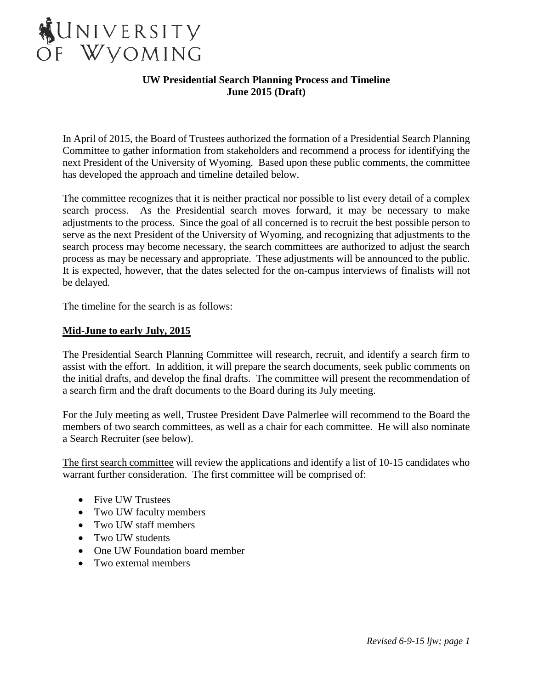

In April of 2015, the Board of Trustees authorized the formation of a Presidential Search Planning Committee to gather information from stakeholders and recommend a process for identifying the next President of the University of Wyoming. Based upon these public comments, the committee has developed the approach and timeline detailed below.

The committee recognizes that it is neither practical nor possible to list every detail of a complex search process. As the Presidential search moves forward, it may be necessary to make adjustments to the process. Since the goal of all concerned is to recruit the best possible person to serve as the next President of the University of Wyoming, and recognizing that adjustments to the search process may become necessary, the search committees are authorized to adjust the search process as may be necessary and appropriate. These adjustments will be announced to the public. It is expected, however, that the dates selected for the on-campus interviews of finalists will not be delayed.

The timeline for the search is as follows:

#### **Mid-June to early July, 2015**

The Presidential Search Planning Committee will research, recruit, and identify a search firm to assist with the effort. In addition, it will prepare the search documents, seek public comments on the initial drafts, and develop the final drafts. The committee will present the recommendation of a search firm and the draft documents to the Board during its July meeting.

For the July meeting as well, Trustee President Dave Palmerlee will recommend to the Board the members of two search committees, as well as a chair for each committee. He will also nominate a Search Recruiter (see below).

The first search committee will review the applications and identify a list of 10-15 candidates who warrant further consideration. The first committee will be comprised of:

- Five UW Trustees
- Two UW faculty members
- Two UW staff members
- Two UW students
- One UW Foundation board member
- Two external members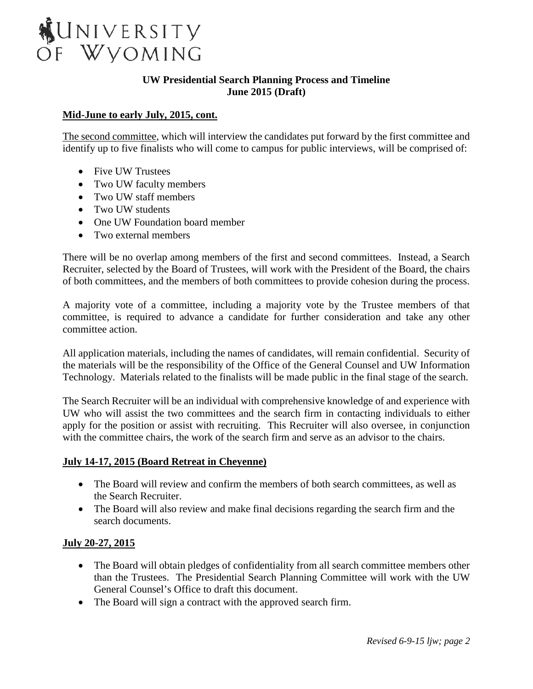

# **Mid-June to early July, 2015, cont.**

The second committee, which will interview the candidates put forward by the first committee and identify up to five finalists who will come to campus for public interviews, will be comprised of:

- Five UW Trustees
- Two UW faculty members
- Two UW staff members
- Two UW students
- One UW Foundation board member
- Two external members

There will be no overlap among members of the first and second committees. Instead, a Search Recruiter, selected by the Board of Trustees, will work with the President of the Board, the chairs of both committees, and the members of both committees to provide cohesion during the process.

A majority vote of a committee, including a majority vote by the Trustee members of that committee, is required to advance a candidate for further consideration and take any other committee action.

All application materials, including the names of candidates, will remain confidential. Security of the materials will be the responsibility of the Office of the General Counsel and UW Information Technology. Materials related to the finalists will be made public in the final stage of the search.

The Search Recruiter will be an individual with comprehensive knowledge of and experience with UW who will assist the two committees and the search firm in contacting individuals to either apply for the position or assist with recruiting. This Recruiter will also oversee, in conjunction with the committee chairs, the work of the search firm and serve as an advisor to the chairs.

## **July 14-17, 2015 (Board Retreat in Cheyenne)**

- The Board will review and confirm the members of both search committees, as well as the Search Recruiter.
- The Board will also review and make final decisions regarding the search firm and the search documents.

## **July 20-27, 2015**

- The Board will obtain pledges of confidentiality from all search committee members other than the Trustees. The Presidential Search Planning Committee will work with the UW General Counsel's Office to draft this document.
- The Board will sign a contract with the approved search firm.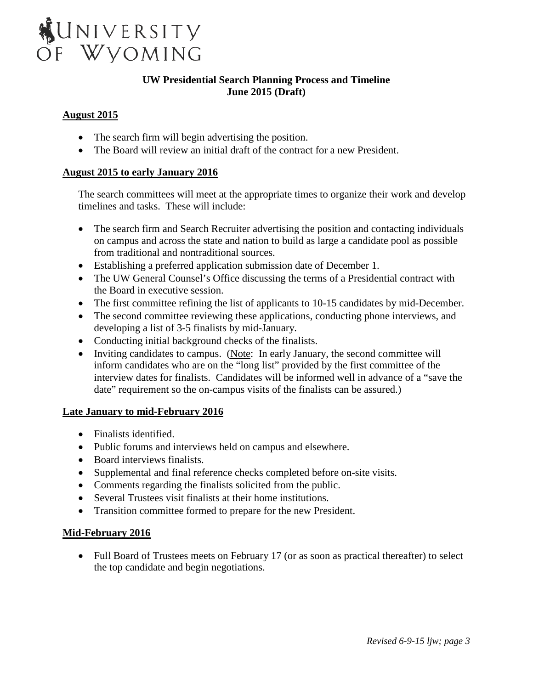

# **August 2015**

- The search firm will begin advertising the position.
- The Board will review an initial draft of the contract for a new President.

## **August 2015 to early January 2016**

The search committees will meet at the appropriate times to organize their work and develop timelines and tasks. These will include:

- The search firm and Search Recruiter advertising the position and contacting individuals on campus and across the state and nation to build as large a candidate pool as possible from traditional and nontraditional sources.
- Establishing a preferred application submission date of December 1.
- The UW General Counsel's Office discussing the terms of a Presidential contract with the Board in executive session.
- The first committee refining the list of applicants to 10-15 candidates by mid-December.
- The second committee reviewing these applications, conducting phone interviews, and developing a list of 3-5 finalists by mid-January.
- Conducting initial background checks of the finalists.
- Inviting candidates to campus. (Note: In early January, the second committee will inform candidates who are on the "long list" provided by the first committee of the interview dates for finalists. Candidates will be informed well in advance of a "save the date" requirement so the on-campus visits of the finalists can be assured.)

## **Late January to mid-February 2016**

- Finalists identified.
- Public forums and interviews held on campus and elsewhere.
- Board interviews finalists.
- Supplemental and final reference checks completed before on-site visits.
- Comments regarding the finalists solicited from the public.
- Several Trustees visit finalists at their home institutions.
- Transition committee formed to prepare for the new President.

## **Mid-February 2016**

• Full Board of Trustees meets on February 17 (or as soon as practical thereafter) to select the top candidate and begin negotiations.